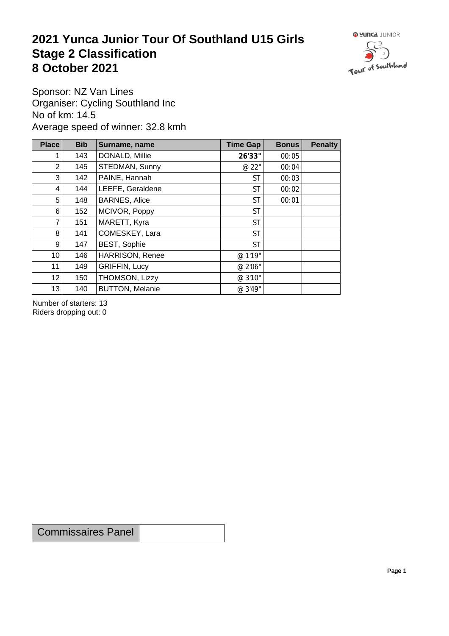## **2021 Yunca Junior Tour Of Southland U15 Girls** Stage 2 Classification<br>8 October 2021 **8 October 2021**



Sponsor: NZ Van Lines Organiser: Cycling Southland Inc No of km: 14.5 Average speed of winner: 32.8 kmh

| <b>Place</b>    | <b>Bib</b> | Surname, name          | Time Gap  | <b>Bonus</b> | <b>Penalty</b> |
|-----------------|------------|------------------------|-----------|--------------|----------------|
| 1               | 143        | DONALD, Millie         | 26'33"    | 00:05        |                |
| $\overline{2}$  | 145        | STEDMAN, Sunny         | @ 22"     | 00:04        |                |
| 3               | 142        | PAINE, Hannah          | <b>ST</b> | 00:03        |                |
| 4               | 144        | LEEFE, Geraldene       | <b>ST</b> | 00:02        |                |
| 5               | 148        | <b>BARNES, Alice</b>   | <b>ST</b> | 00:01        |                |
| 6               | 152        | MCIVOR, Poppy          | <b>ST</b> |              |                |
| 7               | 151        | MARETT, Kyra           | <b>ST</b> |              |                |
| 8               | 141        | COMESKEY, Lara         | <b>ST</b> |              |                |
| 9               | 147        | <b>BEST, Sophie</b>    | <b>ST</b> |              |                |
| 10 <sup>1</sup> | 146        | <b>HARRISON, Renee</b> | @ 1'19"   |              |                |
| 11              | 149        | <b>GRIFFIN, Lucy</b>   | @ 2'06"   |              |                |
| 12              | 150        | THOMSON, Lizzy         | @ 3'10"   |              |                |
| 13              | 140        | <b>BUTTON, Melanie</b> | @ 3'49"   |              |                |

Number of starters: 13 Riders dropping out: 0

Commissaires Panel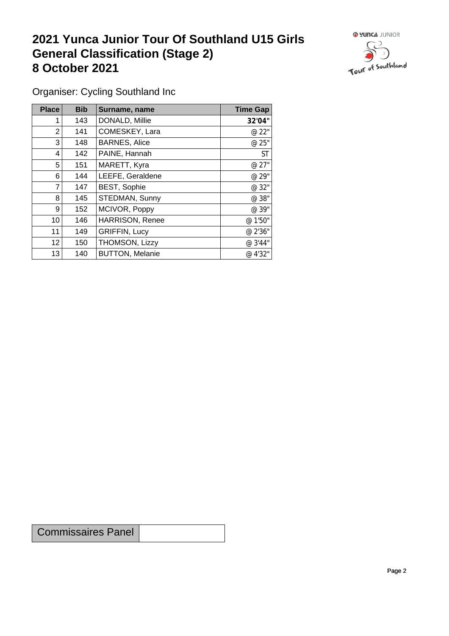## **2021 Yunca Junior Tour Of Southland U15 Girls General Classification (Stage 2)**<br> **8 October 2021 8 October 2021**



Organiser: Cycling Southland Inc

| Place          | <b>Bib</b> | Surname, name          | <b>Time Gap</b> |
|----------------|------------|------------------------|-----------------|
|                | 143        | DONALD, Millie         | 32'04"          |
| 2              | 141        | COMESKEY, Lara         | @ 22"           |
| 3              | 148        | <b>BARNES, Alice</b>   | @ 25"           |
| 4              | 142        | PAINE, Hannah          | <b>ST</b>       |
| 5              | 151        | MARETT, Kyra           | @ 27"           |
| 6              | 144        | LEEFE, Geraldene       | @ 29"           |
| 7              | 147        | <b>BEST, Sophie</b>    | @ 32"           |
| 8              | 145        | STEDMAN, Sunny         | @ 38"           |
| 9 <sup>1</sup> | 152        | MCIVOR, Poppy          | @ 39"           |
| 10             | 146        | <b>HARRISON, Renee</b> | @ 1'50"         |
| 11             | 149        | <b>GRIFFIN, Lucy</b>   | @ 2'36"         |
| 12             | 150        | THOMSON, Lizzy         | @ 3'44"         |
| 13             | 140        | <b>BUTTON, Melanie</b> | @ 4'32"         |

Commissaires Panel